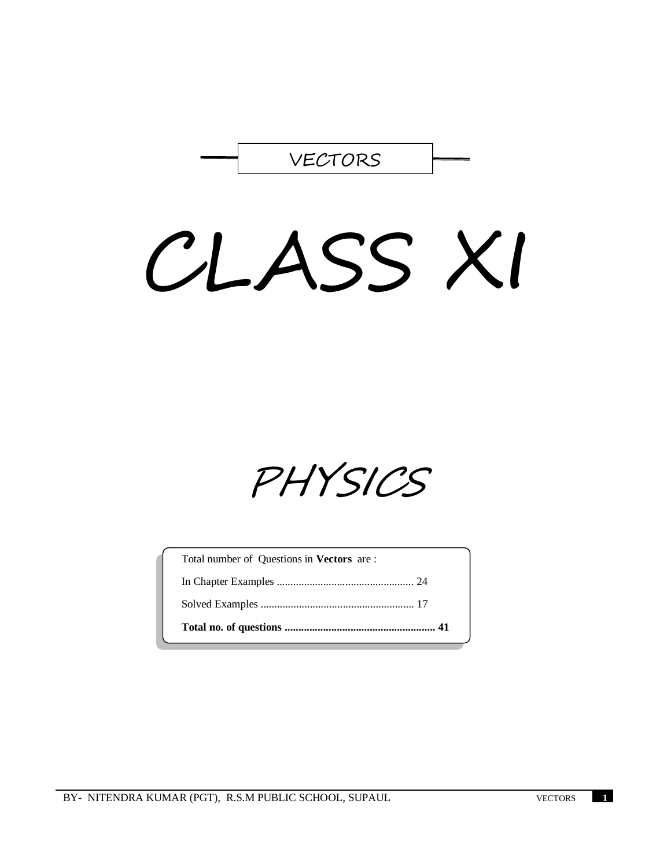

# CLASS XI

PHYSICS

| Total number of Questions in <b>Vectors</b> are : |  |
|---------------------------------------------------|--|
|                                                   |  |
|                                                   |  |
|                                                   |  |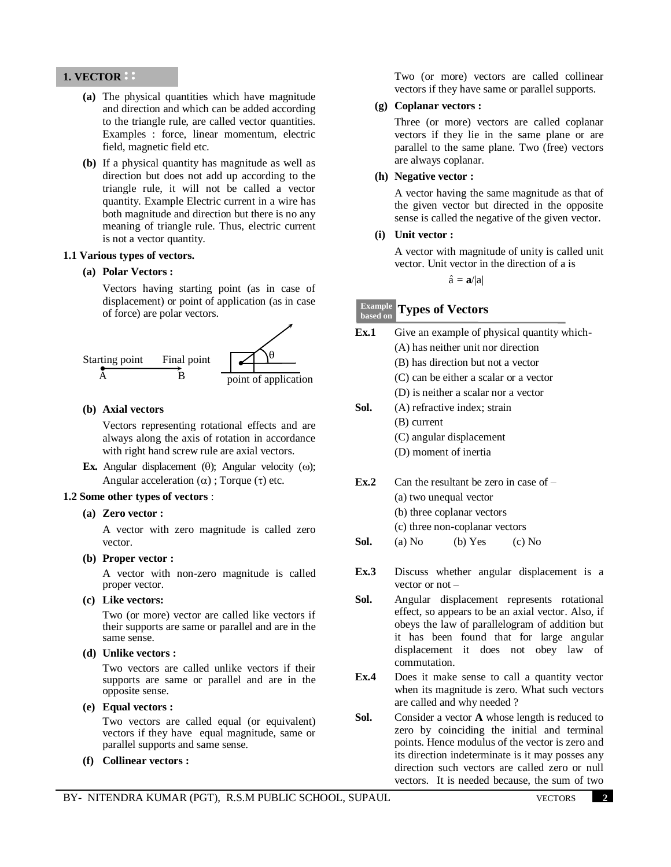## **1. VECTOR**

- **(a)** The physical quantities which have magnitude and direction and which can be added according to the triangle rule, are called vector quantities. Examples : force, linear momentum, electric field, magnetic field etc.
- **(b)** If a physical quantity has magnitude as well as direction but does not add up according to the triangle rule, it will not be called a vector quantity. Example Electric current in a wire has both magnitude and direction but there is no any meaning of triangle rule. Thus, electric current is not a vector quantity.

## **1.1 Various types of vectors.**

## **(a) Polar Vectors :**

Vectors having starting point (as in case of displacement) or point of application (as in case of force) are polar vectors.



## **(b) Axial vectors**

Vectors representing rotational effects and are always along the axis of rotation in accordance with right hand screw rule are axial vectors.

**Ex.** Angular displacement  $(\theta)$ ; Angular velocity  $(\omega)$ ; Angular acceleration  $(\alpha)$  ; Torque  $(\tau)$  etc.

## **1.2 Some other types of vectors** :

**(a) Zero vector :**

A vector with zero magnitude is called zero vector.

**(b) Proper vector :**

A vector with non-zero magnitude is called proper vector.

**(c) Like vectors:** 

Two (or more) vector are called like vectors if their supports are same or parallel and are in the same sense.

**(d) Unlike vectors :**

Two vectors are called unlike vectors if their supports are same or parallel and are in the opposite sense.

**(e) Equal vectors :**

Two vectors are called equal (or equivalent) vectors if they have equal magnitude, same or parallel supports and same sense.

**(f) Collinear vectors :**

Two (or more) vectors are called collinear vectors if they have same or parallel supports.

## **(g) Coplanar vectors :**

Three (or more) vectors are called coplanar vectors if they lie in the same plane or are parallel to the same plane. Two (free) vectors are always coplanar.

## **(h) Negative vector :**

A vector having the same magnitude as that of the given vector but directed in the opposite sense is called the negative of the given vector.

## **(i) Unit vector :**

A vector with magnitude of unity is called unit vector. Unit vector in the direction of a is

 $\hat{\mathbf{a}} = \mathbf{a}/|\mathbf{a}|$ 

#### **Types of Vectors Example based on**

| Ex.1 | Give an example of physical quantity which-                                                                                                                                                                                                                                                                                                                                                                           |  |  |
|------|-----------------------------------------------------------------------------------------------------------------------------------------------------------------------------------------------------------------------------------------------------------------------------------------------------------------------------------------------------------------------------------------------------------------------|--|--|
|      | (A) has neither unit nor direction                                                                                                                                                                                                                                                                                                                                                                                    |  |  |
|      | (B) has direction but not a vector                                                                                                                                                                                                                                                                                                                                                                                    |  |  |
|      | (C) can be either a scalar or a vector                                                                                                                                                                                                                                                                                                                                                                                |  |  |
|      | (D) is neither a scalar nor a vector                                                                                                                                                                                                                                                                                                                                                                                  |  |  |
| Sol. | (A) refractive index; strain                                                                                                                                                                                                                                                                                                                                                                                          |  |  |
|      | (B) current                                                                                                                                                                                                                                                                                                                                                                                                           |  |  |
|      | (C) angular displacement                                                                                                                                                                                                                                                                                                                                                                                              |  |  |
|      | (D) moment of inertia                                                                                                                                                                                                                                                                                                                                                                                                 |  |  |
| Ex.2 | Can the resultant be zero in case of $-$                                                                                                                                                                                                                                                                                                                                                                              |  |  |
|      | (a) two unequal vector                                                                                                                                                                                                                                                                                                                                                                                                |  |  |
|      | (b) three coplanar vectors                                                                                                                                                                                                                                                                                                                                                                                            |  |  |
|      | (c) three non-coplanar vectors                                                                                                                                                                                                                                                                                                                                                                                        |  |  |
| Sol. | (a) No<br>$(b)$ Yes<br>$(c)$ No                                                                                                                                                                                                                                                                                                                                                                                       |  |  |
| Ex.3 | Discuss whether angular displacement is a<br>vector or $not$ –                                                                                                                                                                                                                                                                                                                                                        |  |  |
| Sol. | Angular displacement represents rotational<br>effect, so appears to be an axial vector. Also, if<br>$\mathcal{A}$ and $\mathcal{A}$ and $\mathcal{A}$ and $\mathcal{A}$ and $\mathcal{A}$ and $\mathcal{A}$ and $\mathcal{A}$ and $\mathcal{A}$ and $\mathcal{A}$ and $\mathcal{A}$ and $\mathcal{A}$ and $\mathcal{A}$ and $\mathcal{A}$ and $\mathcal{A}$ and $\mathcal{A}$ and $\mathcal{A}$ and $\mathcal{A}$ and |  |  |

- effect, so appears to be an axial vector. Also, if obeys the law of parallelogram of addition but it has been found that for large angular displacement it does not obey law of commutation.
- **Ex.4** Does it make sense to call a quantity vector when its magnitude is zero. What such vectors are called and why needed ?
- **Sol.** Consider a vector **A** whose length is reduced to zero by coinciding the initial and terminal points. Hence modulus of the vector is zero and its direction indeterminate is it may posses any direction such vectors are called zero or null vectors. It is needed because, the sum of two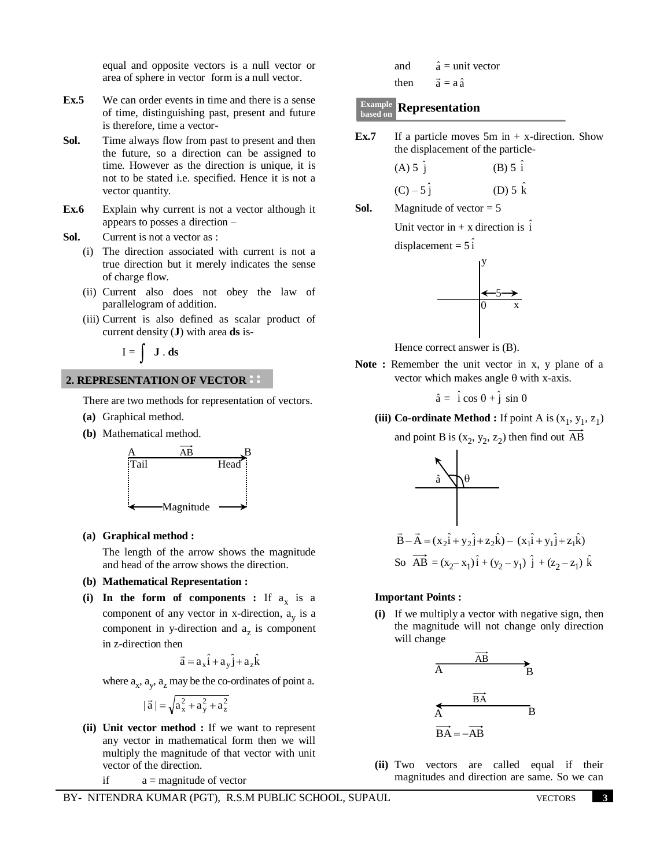equal and opposite vectors is a null vector or area of sphere in vector form is a null vector.

- **Ex.5** We can order events in time and there is a sense of time, distinguishing past, present and future is therefore, time a vector-
- **Sol.** Time always flow from past to present and then the future, so a direction can be assigned to time. However as the direction is unique, it is not to be stated i.e. specified. Hence it is not a vector quantity.
- **Ex.6** Explain why current is not a vector although it appears to posses a direction –
- **Sol.** Current is not a vector as :
	- (i) The direction associated with current is not a true direction but it merely indicates the sense of charge flow.
	- (ii) Current also does not obey the law of parallelogram of addition.
	- (iii) Current is also defined as scalar product of current density (**J**) with area **ds** is-

 $I = \int J \cdot ds$ 

## **2. REPRESENTATION OF VECTOR**

There are two methods for representation of vectors.

- **(a)** Graphical method.
- **(b)** Mathematical method.



**(a) Graphical method :**

The length of the arrow shows the magnitude and head of the arrow shows the direction.

### **(b) Mathematical Representation :**

(i) In the form of components : If  $a_x$  is a component of any vector in  $x$ -direction,  $a_y$  is a component in y-direction and  $a_z$  is component in z-direction then

$$
\vec{a} = a_x \hat{i} + a_y \hat{j} + a_z \hat{k}
$$

where  $a_x$ ,  $a_y$ ,  $a_z$  may be the co-ordinates of point a.

$$
|\vec{a}|=\sqrt{a_x^2+a_y^2+a_z^2}
$$

**(ii) Unit vector method :** If we want to represent any vector in mathematical form then we will multiply the magnitude of that vector with unit vector of the direction.

if  $a =$  magnitude of vector

BY- NITENDRA KUMAR (PGT), R.S.M PUBLIC SCHOOL, SUPAUL VECTORS **3**

| and  | $\hat{a}$ = unit vector |
|------|-------------------------|
| then | $a = aa$                |

# **Representation Example based on**

**Ex.7** If a particle moves 5m in + x-direction. Show the displacement of the particle-

(A) 5 
$$
\hat{j}
$$
  
\n(B) 5  $\hat{i}$   
\n(C) - 5  $\hat{j}$   
\n(D) 5  $\hat{k}$ 

**Sol.** Magnitude of vector  $= 5$ 

Unit vector in  $+ x$  direction is  $\hat{i}$ 

displacement =  $5\hat{i}$ 



Hence correct answer is (B).

**Note :** Remember the unit vector in x, y plane of a vector which makes angle  $\theta$  with x-axis.

$$
\hat{a} = \hat{i} \cos \theta + \hat{j} \sin \theta
$$

(iii) Co-ordinate Method : If point A is  $(x_1, y_1, z_1)$ 

and point B is  $(x_2, y_2, z_2)$  then find out AB



#### **Important Points :**

**(i)** If we multiply a vector with negative sign, then the magnitude will not change only direction will change



**(ii)** Two vectors are called equal if their magnitudes and direction are same. So we can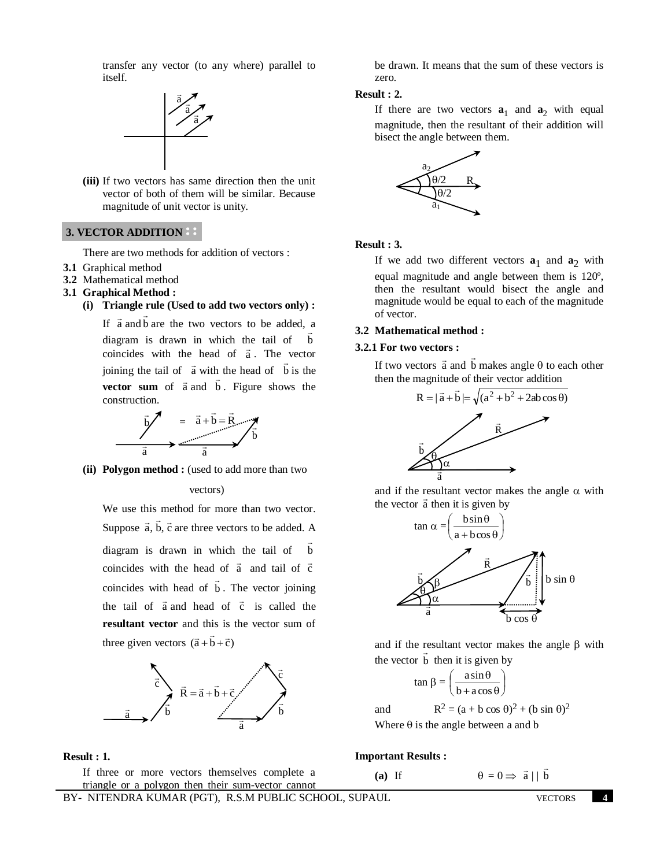transfer any vector (to any where) parallel to itself.



**(iii)** If two vectors has same direction then the unit vector of both of them will be similar. Because magnitude of unit vector is unity.

## **3. VECTOR ADDITION**

There are two methods for addition of vectors :

- **3.1** Graphical method
- **3.2** Mathematical method
- **3.1 Graphical Method :** 
	- **(i) Triangle rule (Used to add two vectors only) :**  $\rightarrow$

If  $\vec{a}$  and  $\vec{b}$ are the two vectors to be added, a diagram is drawn in which the tail of b  $\ddot{\ }$ coincides with the head of  $\vec{a}$ . The vector joining the tail of  $\vec{a}$  with the head of  $\vec{b}$  is the **vector sum** of  $\vec{a}$  and  $\vec{b}$ . Figure shows the construction.



**(ii) Polygon method :** (used to add more than two

#### vectors)

We use this method for more than two vector. Suppose  $\vec{a}$ ,  $\vec{b}$ ,  $\vec{c}$  are three vectors to be added. A diagram is drawn in which the tail of b  $\overline{\phantom{a}}$ coincides with the head of  $\vec{a}$  and tail of  $\vec{c}$ coincides with head of b  $\overline{\phantom{a}}$ . The vector joining the tail of  $\vec{a}$  and head of  $\vec{c}$  is called the **resultant vector** and this is the vector sum of three given vectors  $(\vec{a} + \vec{b} + \vec{c})$ 



#### **Result : 1.**

If three or more vectors themselves complete a triangle or a polygon then their sum-vector cannot be drawn. It means that the sum of these vectors is zero.

## **Result : 2.**

If there are two vectors  $\mathbf{a}_1$  and  $\mathbf{a}_2$  with equal magnitude, then the resultant of their addition will bisect the angle between them.



#### **Result : 3.**

If we add two different vectors  $a_1$  and  $a_2$  with equal magnitude and angle between them is 120º, then the resultant would bisect the angle and magnitude would be equal to each of the magnitude of vector.

## **3.2 Mathematical method :**

#### **3.2.1 For two vectors :**

If two vectors  $\vec{a}$  and  $\vec{b}$  $\overline{\phantom{a}}$ makes angle  $\theta$  to each other then the magnitude of their vector addition



and if the resultant vector makes the angle  $\alpha$  with  $\frac{d}{dx}$  and it include resultant vector  $\frac{d}{dx}$  then it is given by



and if the resultant vector makes the angle  $\beta$  with the vector **b** then it is given by

$$
\tan \beta = \left(\frac{a \sin \theta}{b + a \cos \theta}\right)
$$

and  $R^2 = (a + b \cos \theta)^2 + (b \sin \theta)^2$ Where  $\theta$  is the angle between a and b

**Important Results :**

$$
f_{\rm{max}}
$$

(a) If  $\theta = 0 \Rightarrow \vec{a} \mid \vec{b}$ 

 $\overline{\phantom{a}}$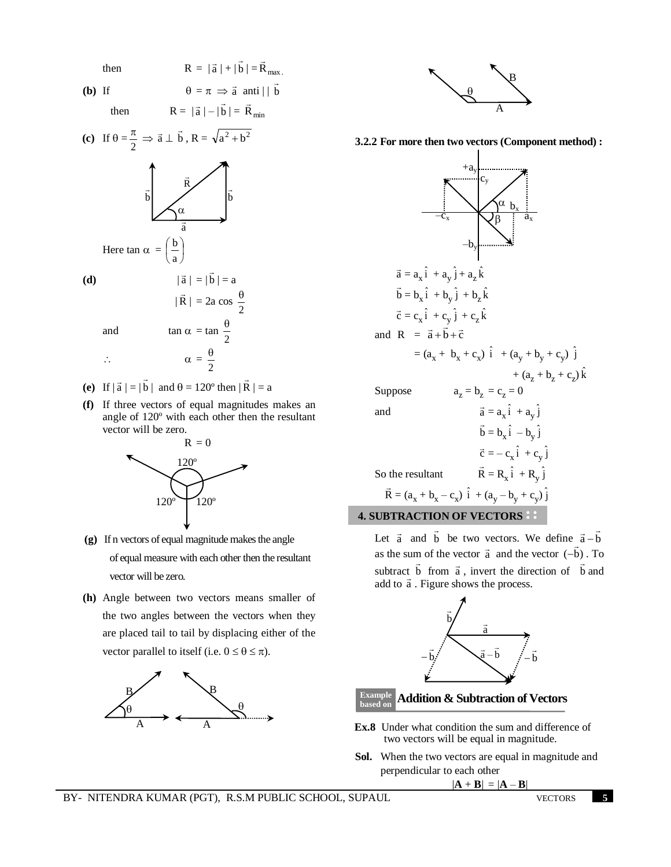then 
$$
R = |\vec{a}| + |\vec{b}| = \vec{R}_{max}
$$
.  
\n**b)** If  $\theta = \pi \implies \vec{a} \text{ anti } | |\vec{b}|$ 

**(b)** If

$$
\theta = \pi \implies \text{a} \text{ and}
$$
  
then 
$$
R = |\vec{a}| - |\vec{b}| = \vec{R}_{min}
$$



and  
\n
$$
|\vec{R}| = 2a \cos \frac{\theta}{2}
$$
  
\n $|\vec{R}| = 2a \cos \frac{\theta}{2}$   
\n $\therefore \qquad \alpha = \frac{\theta}{2}$ 

- (e) If  $|\vec{a}| = |\vec{b}|$  $\rightarrow$ | and  $\theta = 120^{\circ}$  then | R  $\overline{\phantom{a}}$  $\vert = a$
- **(f)** If three vectors of equal magnitudes makes an angle of 120º with each other then the resultant vector will be zero.



- **(g)** If n vectors of equal magnitude makes the angle of equal measure with each other then the resultant vector will be zero.
- **(h)** Angle between two vectors means smaller of the two angles between the vectors when they are placed tail to tail by displacing either of the vector parallel to itself (i.e.  $0 \le \theta \le \pi$ ).





**3.2.2 For more then two vectors (Component method) :**



and a

 $\vec{a} = a_x \hat{i} + a_y \hat{j}$  b  $\overline{\phantom{a}}$  $= b_x \hat{i} - b_y \hat{j}$  $\vec{c} = -c_x \hat{i} + c_y \hat{j}$ So the resultant  $\rightarrow$  $= R_x \hat{i} + R_y \hat{j}$  R  $\overline{\phantom{a}}$  $=(a_x + b_x - c_x) \hat{i} + (a_y - b_y + c_y) \hat{j}$ **4. SUBTRACTION OF VECTORS** 

Let  $\vec{a}$  and  $\vec{b}$  $\overline{a}$ be two vectors. We define  $\vec{a} - \vec{b}$  $\vec{a}-\vec{b}$ as the sum of the vector  $\vec{a}$  and the vector  $(-\vec{b})$  $\overline{\phantom{a}}$  $-b)$ . To subtract b  $\ddot{\ }$ from  $\vec{a}$ , invert the direction of  $\vec{b}$  $\overline{a}$ and subtract  $\theta$  from a, invert the une<br>add to  $\vec{a}$ . Figure shows the process.



#### **Addition & Subtraction of Vectors based on**

- **Ex.8** Under what condition the sum and difference of two vectors will be equal in magnitude.
- **Sol.** When the two vectors are equal in magnitude and perpendicular to each other

$$
|\mathbf{A} + \mathbf{B}| = |\mathbf{A} - \mathbf{B}|
$$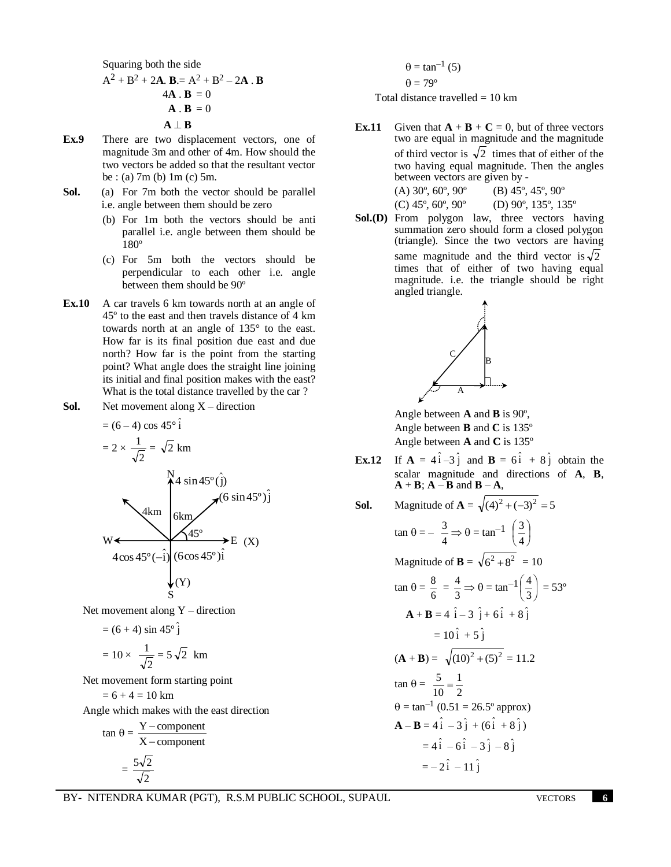Squaring both the side  
\n
$$
A^2 + B^2 + 2A
$$
. **B** =  $A^2 + B^2 - 2A$ . **B**  
\n4A. **B** = 0  
\n**A**. **B** = 0  
\n**A**  $\perp$  **B**

- **Ex.9** There are two displacement vectors, one of magnitude 3m and other of 4m. How should the two vectors be added so that the resultant vector be : (a) 7m (b) 1m (c) 5m.
- **Sol.** (a) For 7m both the vector should be parallel i.e. angle between them should be zero
	- (b) For 1m both the vectors should be anti parallel i.e. angle between them should be 180º
	- (c) For 5m both the vectors should be perpendicular to each other i.e. angle between them should be 90º
- **Ex.10** A car travels 6 km towards north at an angle of 45º to the east and then travels distance of 4 km towards north at an angle of 135° to the east. How far is its final position due east and due north? How far is the point from the starting point? What angle does the straight line joining its initial and final position makes with the east? What is the total distance travelled by the car?
- **Sol.** Net movement along X direction

$$
= (6-4) \cos 45^\circ \hat{i}
$$
  
\n
$$
= 2 \times \frac{1}{\sqrt{2}} = \sqrt{2} \text{ km}
$$
  
\n
$$
\frac{N}{4} \sin 45^\circ \hat{j}
$$
  
\n
$$
= \frac{N}{4} \sin 45^\circ \hat{j}
$$
  
\n
$$
\frac{N}{6 \text{ km}}
$$
  
\n
$$
\frac{45^\circ}{45^\circ}
$$
  
\n
$$
= (X)
$$
  
\n
$$
4 \cos 45^\circ \hat{-i} \cos 45^\circ \hat{i}
$$
  
\n
$$
(Y)
$$

j ˆ

Net movement along  $Y -$  direction

$$
= (6+4) \sin 45^\circ \hat{j}
$$

$$
= 10 \times \frac{1}{\sqrt{2}} = 5\sqrt{2} \text{ km}
$$

Net movement form starting point

$$
=6+4=10\ km
$$

Angle which makes with the east direction

$$
\tan \theta = \frac{Y - component}{X - component}
$$

$$
= \frac{5\sqrt{2}}{\sqrt{2}}
$$

$$
\theta = \tan^{-1}(5)
$$

$$
\theta = 79^{\circ}
$$

Total distance travelled  $= 10$  km

**Ex.11** Given that  $\mathbf{A} + \mathbf{B} + \mathbf{C} = 0$ , but of three vectors two are equal in magnitude and the magnitude of third vector is  $\sqrt{2}$  times that of either of the two having equal magnitude. Then the angles between vectors are given by - (A)  $30^{\circ}$ ,  $60^{\circ}$ ,  $90^{\circ}$  (B)  $45^{\circ}$ ,  $45^{\circ}$ ,  $90^{\circ}$ 

(C) 
$$
45^\circ
$$
,  $60^\circ$ ,  $90^\circ$  (D)  $90^\circ$ ,  $135^\circ$ ,  $135^\circ$ 

**Sol.(D)** From polygon law, three vectors having summation zero should form a closed polygon (triangle). Since the two vectors are having same magnitude and the third vector is  $\sqrt{2}$ times that of either of two having equal magnitude. i.e. the triangle should be right angled triangle.



Angle between **A** and **B** is 90º, Angle between **B** and **C** is 135º Angle between **A** and **C** is 135º

**Ex.12** If  $\mathbf{A} = 4\hat{i} - 3\hat{j}$  and  $\mathbf{B} = 6\hat{i} + 8\hat{j}$  obtain the scalar magnitude and directions of **A**, **B**,  $A + B$ ;  $A - B$  and  $B - A$ ,

**Sol.** Magnitude of **A** = 
$$
\sqrt{(4)^2 + (-3)^2} = 5
$$

$$
\tan \theta = -\frac{3}{4} \Rightarrow \theta = \tan^{-1} \left(\frac{3}{4}\right)
$$
  
\nMagnitude of **B** =  $\sqrt{6^2 + 8^2} = 10$   
\n
$$
\tan \theta = \frac{8}{6} = \frac{4}{3} \Rightarrow \theta = \tan^{-1} \left(\frac{4}{3}\right) = 53^{\circ}
$$
  
\n**A** + **B** = 4\hat{i} - 3\hat{j} + 6\hat{i} + 8\hat{j}  
\n=  $10\hat{i} + 5\hat{j}$   
\n(**A** + **B**) =  $\sqrt{(10)^2 + (5)^2} = 11.2$   
\n
$$
\tan \theta = \frac{5}{10} = \frac{1}{2}
$$
  
\n $\theta = \tan^{-1} (0.51 = 26.5^{\circ} \text{ approx})$   
\n**A** - **B** = 4\hat{i} - 3\hat{j} + (6\hat{i} + 8\hat{j})  
\n= 4\hat{i} - 6\hat{i} - 3\hat{j} - 8\hat{j}  
\n= -2\hat{i} - 11\hat{j}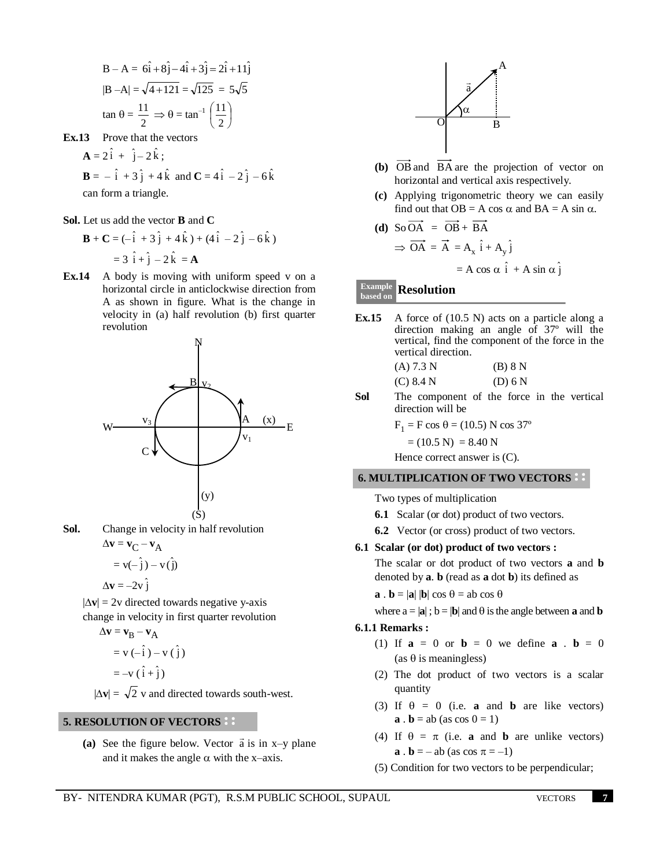B - A = 
$$
6\hat{i} + 8\hat{j} - 4\hat{i} + 3\hat{j} = 2\hat{i} + 11\hat{j}
$$
  
\n|B - A| =  $\sqrt{4 + 121} = \sqrt{125} = 5\sqrt{5}$   
\ntan  $\theta = \frac{11}{2} \implies \theta = \tan^{-1}(\frac{11}{2})$ 

**Ex.13** Prove that the vectors

$$
\mathbf{A} = 2\hat{i} + \hat{j} - 2\hat{k} ;
$$
  
\n
$$
\mathbf{B} = -\hat{i} + 3\hat{j} + 4\hat{k} \text{ and } \mathbf{C} = 4\hat{i} - 2\hat{j} - 6\hat{k}
$$
  
\ncan form a triangle.

**Sol.** Let us add the vector **B** and **C** 

$$
\mathbf{B} + \mathbf{C} = (-\hat{i} + 3\hat{j} + 4\hat{k}) + (4\hat{i} - 2\hat{j} - 6\hat{k})
$$
  
= 3\hat{i} + \hat{j} - 2\hat{k} = \mathbf{A}

**Ex.14** A body is moving with uniform speed v on a horizontal circle in anticlockwise direction from A as shown in figure. What is the change in velocity in (a) half revolution (b) first quarter revolution



**Sol.** Change in velocity in half revolution  $\Delta$ **v** = **v**<sub>C</sub> – **v**<sub>A</sub>

$$
= \mathbf{v}(-\hat{\mathbf{j}}) - \mathbf{v}(\hat{\mathbf{j}})
$$

$$
\Delta \mathbf{v} = -2\mathbf{v}\hat{\mathbf{j}}
$$

 $|\Delta v| = 2v$  directed towards negative y-axis change in velocity in first quarter revolution

$$
\Delta \mathbf{v} = \mathbf{v}_{B} - \mathbf{v}_{A}
$$

$$
= \mathbf{v} \left( -\hat{\mathbf{i}} \right) - \mathbf{v} \left( \hat{\mathbf{j}} \right)
$$

$$
= -\mathbf{v} \left( \hat{\mathbf{i}} + \hat{\mathbf{j}} \right)
$$

 $|\Delta v| = \sqrt{2}$  v and directed towards south-west.

## **5. RESOLUTION OF VECTORS**

(a) See the figure below. Vector  $\vec{a}$  is in x–y plane and it makes the angle  $\alpha$  with the x–axis.



- **(b)** OB and BA are the projection of vector on horizontal and vertical axis respectively.
- **(c)** Applying trigonometric theory we can easily find out that  $OB = A \cos \alpha$  and  $BA = A \sin \alpha$ .

(d) So OA = OB + BA  
\n
$$
\Rightarrow \overrightarrow{OA} = \overrightarrow{A} = A_x \hat{i} + A_y \hat{j}
$$
\n
$$
= A \cos \alpha \hat{i} + A \sin \alpha \hat{j}
$$

#### **Resolution based on**

- **Ex.15** A force of (10.5 N) acts on a particle along a direction making an angle of 37º will the vertical, find the component of the force in the vertical direction.
	- (A)  $7.3 \text{ N}$  (B)  $8 \text{ N}$  $(C) 8.4 N$  (D) 6 N
- **Sol** The component of the force in the vertical direction will be

 $F_1 = F \cos \theta = (10.5) N \cos 37^{\circ}$ 

$$
= (10.5 \text{ N}) = 8.40 \text{ N}
$$

Hence correct answer is (C).

## **6. MULTIPLICATION OF TWO VECTORS**

Two types of multiplication

- **6.1** Scalar (or dot) product of two vectors.
- **6.2** Vector (or cross) product of two vectors.

## **6.1 Scalar (or dot) product of two vectors :**

The scalar or dot product of two vectors **a** and **b** denoted by **a**. **b** (read as **a** dot **b**) its defined as

 $\mathbf{a} \cdot \mathbf{b} = |\mathbf{a}| |\mathbf{b}| \cos \theta = \mathrm{ab} \cos \theta$ 

where  $a = |\mathbf{a}|$ ;  $\mathbf{b} = |\mathbf{b}|$  and  $\theta$  is the angle between **a** and **b** 

#### **6.1.1 Remarks :**

- (1) If  $a = 0$  or  $b = 0$  we define  $a \cdot b = 0$ (as  $\theta$  is meaningless)
- (2) The dot product of two vectors is a scalar quantity
- (3) If  $\theta = 0$  (i.e. **a** and **b** are like vectors)  $\mathbf{a} \cdot \mathbf{b} = ab$  (as  $\cos 0 = 1$ )
- (4) If  $\theta = \pi$  (i.e. **a** and **b** are unlike vectors) **a** . **b** = – ab (as  $\cos \pi = -1$ )
- (5) Condition for two vectors to be perpendicular;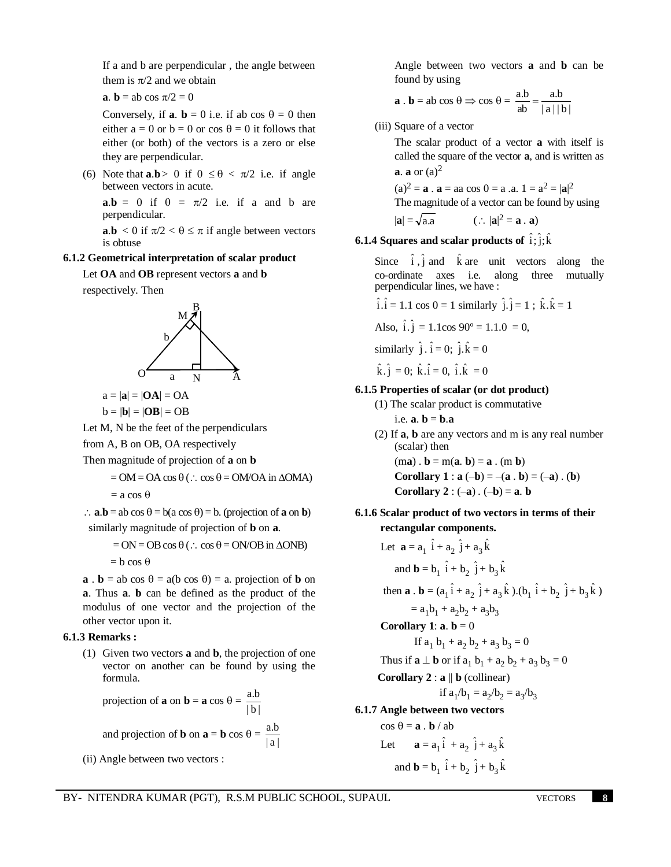If a and b are perpendicular , the angle between them is  $\pi/2$  and we obtain

**a**. **b** = ab cos  $\pi/2 = 0$ 

Conversely, if **a**. **b** = 0 i.e. if ab cos  $\theta$  = 0 then either  $a = 0$  or  $b = 0$  or  $\cos \theta = 0$  it follows that either (or both) of the vectors is a zero or else they are perpendicular.

(6) Note that **a**.**b** > 0 if  $0 \le \theta < \pi/2$  i.e. if angle between vectors in acute.

 $a.b = 0$  if  $\theta = \pi/2$  i.e. if a and b are perpendicular.

**a.b** < 0 if  $\pi/2 < \theta \leq \pi$  if angle between vectors is obtuse

## **6.1.2 Geometrical interpretation of scalar product**

Let **OA** and **OB** represent vectors **a** and **b**

respectively. Then



$$
a = |\mathbf{a}| = |\mathbf{OA}| = OA
$$
  

$$
b = |\mathbf{b}| = |\mathbf{OB}| = OB
$$

Let M, N be the feet of the perpendiculars

from A, B on OB, OA respectively

Then magnitude of projection of **a** on **b**

$$
= OM = OA \cos \theta (.: \cos \theta = OM/OA \text{ in } \Delta OMA)
$$

 $=$  a cos  $\theta$ 

 $\therefore$  **a**.**b** = ab cos  $\theta$  = b(a cos  $\theta$ ) = b. (projection of **a** on **b**) similarly magnitude of projection of **b** on **a**.

$$
= ON = OB \cos \theta (.:. \cos \theta = ON/OB \text{ in } \Delta ONB)
$$

 $= b \cos \theta$ 

**a**  $\bf{b} =$  ab cos  $\theta = a(b \cos \theta) = a$ . projection of **b** on **a**. Thus **a**. **b** can be defined as the product of the modulus of one vector and the projection of the other vector upon it.

## **6.1.3 Remarks :**

(1) Given two vectors **a** and **b**, the projection of one vector on another can be found by using the formula.

projection of **a** on **b** = **a** cos 
$$
\theta
$$
 =  $\frac{a.b}{|b|}$ 

and projection of **b** on  $\mathbf{a} = \mathbf{b} \cos \theta = \frac{a \cdot b}{|a|}$ a.b

(ii) Angle between two vectors :

Angle between two vectors **a** and **b** can be found by using

$$
\mathbf{a} \cdot \mathbf{b} = \mathbf{a} \cdot \mathbf{b} \cos \theta \Rightarrow \cos \theta = \frac{\mathbf{a} \cdot \mathbf{b}}{\mathbf{a} \cdot \mathbf{b}} = \frac{\mathbf{a} \cdot \mathbf{b}}{|\mathbf{a}| |\mathbf{b}|}
$$

(iii) Square of a vector

The scalar product of a vector **a** with itself is called the square of the vector **a**, and is written as **a**. **a** or  $(a)^2$ 

 $(a)^2 = a$ .  $a = aa \cos 0 = a$ .  $a$ .  $1 = a^2 = |a|^2$ The magnitude of a vector can be found by using

$$
|\mathbf{a}| = \sqrt{a.a} \qquad (\therefore |\mathbf{a}|^2 = \mathbf{a} \cdot \mathbf{a})
$$

**6.1.4 Squares and scalar products of**  $\hat{\mathbf{i}}; \hat{\mathbf{j}}; \hat{\mathbf{k}}$ 

Since  $\hat{i}$ ,  $\hat{j}$  and  $\hat{k}$  are unit vectors along the co-ordinate axes i.e. along three mutually perpendicular lines, we have :

$$
\hat{i}.\hat{i} = 1.1 \cos 0 = 1 \text{ similarly } \hat{j}.\hat{j} = 1 ; \hat{k}.\hat{k} = 1
$$

Also, 
$$
\hat{i} \cdot \hat{j} = 1.1 \cos 90^\circ = 1.1.0 = 0
$$
,

similarly  $\hat{j} \cdot \hat{i} = 0$ ;  $\hat{j} \cdot \hat{k} = 0$ 

$$
\hat{k} \cdot \hat{j} = 0
$$
;  $\hat{k} \cdot \hat{i} = 0$ ,  $\hat{i} \cdot \hat{k} = 0$ 

#### **6.1.5 Properties of scalar (or dot product)**

- (1) The scalar product is commutative  $i.e.$   $a \cdot b = b \cdot a$
- (2) If **a**, **b** are any vectors and m is any real number (scalar) then

 $(ma)$ .  $b = m(a, b) = a$ .  $(m b)$ **Corollary** 1 : **a**  $(-b) = -(a \cdot b) = (-a) \cdot (b)$ **Corollary 2** :  $(-a)$  .  $(-b) = a$ . **b** 

**6.1.6 Scalar product of two vectors in terms of their rectangular components.** 

Let 
$$
\mathbf{a} = a_1 \hat{i} + a_2 \hat{j} + a_3 \hat{k}
$$
  
\nand  $\mathbf{b} = b_1 \hat{i} + b_2 \hat{j} + b_3 \hat{k}$   
\nthen  $\mathbf{a} \cdot \mathbf{b} = (a_1 \hat{i} + a_2 \hat{j} + a_3 \hat{k}) \cdot (b_1 \hat{i} + b_2 \hat{j} + b_3 \hat{k})$   
\n $= a_1 b_1 + a_2 b_2 + a_3 b_3$   
\nCorollary 1:  $\mathbf{a} \cdot \mathbf{b} = 0$   
\nIf  $a_1 b_1 + a_2 b_2 + a_3 b_3 = 0$   
\nThus if  $\mathbf{a} \perp \mathbf{b}$  or if  $a_1 b_1 + a_2 b_2 + a_3 b_3 = 0$   
\nCorollary 2:  $\mathbf{a} \parallel \mathbf{b}$  (collinear)  
\nif  $a_1/b_1 = a_2/b_2 = a_3/b_3$   
\n6.1.7 Angle between two vectors

 $\cos \theta = \mathbf{a} \cdot \mathbf{b} / \, \text{ab}$ Let  $\mathbf{a} = a_1 \hat{i} + a_2 \hat{j} + a_3 \hat{k}$ and **b** = **b**<sub>1</sub>  $\hat{i} + b_2 \hat{j} + b_3 \hat{k}$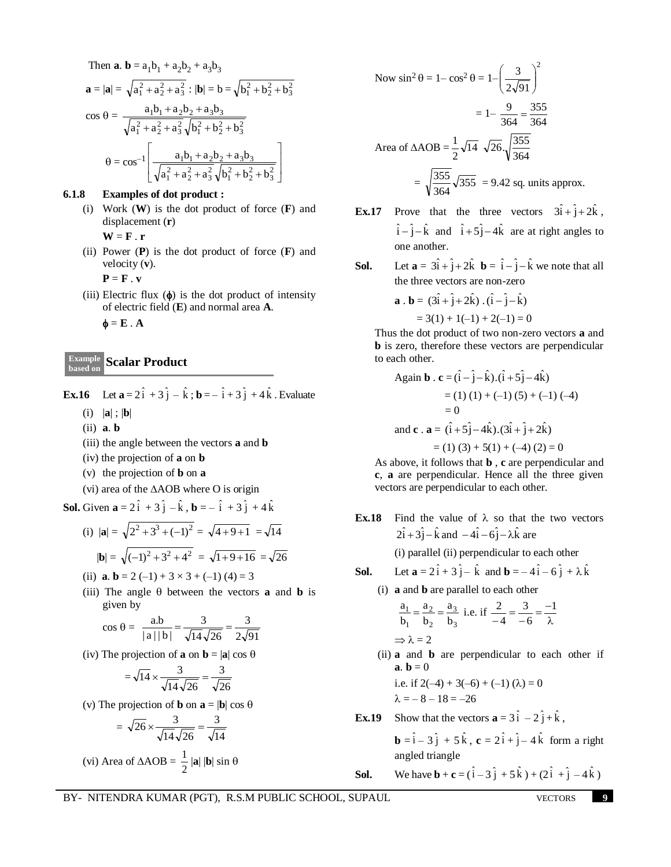Then **a. b** = 
$$
a_1b_1 + a_2b_2 + a_3b_3
$$
  
\n**a** =  $|\mathbf{a}| = \sqrt{a_1^2 + a_2^2 + a_3^2} : |\mathbf{b}| = b = \sqrt{b_1^2 + b_2^2 + b_3^2}$   
\n $\cos \theta = \frac{a_1b_1 + a_2b_2 + a_3b_3}{\sqrt{a_1^2 + a_2^2 + a_3^2} \sqrt{b_1^2 + b_2^2 + b_3^2}}$   
\n $\theta = \cos^{-1} \left[ \frac{a_1b_1 + a_2b_2 + a_3b_3}{\sqrt{a_1^2 + a_2^2 + a_3^2} \sqrt{b_1^2 + b_2^2 + b_3^2}} \right]$ 

## **6.1.8 Examples of dot product :**

(i) Work (**W**) is the dot product of force (**F**) and displacement (**r**)

 $W = F \cdot r$ 

(ii) Power (**P**) is the dot product of force (**F**) and velocity (**v**).

 $P = F \cdot v$ 

(iii) Electric flux  $(\phi)$  is the dot product of intensity of electric field (**E**) and normal area **A**.

 $\mathbf{\Phi} = \mathbf{E} \cdot \mathbf{A}$ 

# **Scalar Product Example based on**

**Ex.16** Let  $\mathbf{a} = 2\hat{i} + 3\hat{j} - \hat{k}$ ;  $\mathbf{b} = -\hat{i} + 3\hat{j} + 4\hat{k}$ . Evaluate

- (i) |**a**| ; |**b**|
- (ii) **a**. **b**
- (iii) the angle between the vectors **a** and **b**
- (iv) the projection of **a** on **b**
- (v) the projection of **b** on **a**
- (vi) area of the  $\triangle AOB$  where O is origin

**Sol.** Given  $\mathbf{a} = 2\hat{i} + 3\hat{j} - \hat{k}$ ,  $\mathbf{b} = -\hat{i} + 3\hat{j} + 4\hat{k}$ 

(i) 
$$
|\mathbf{a}| = \sqrt{2^2 + 3^3 + (-1)^2} = \sqrt{4 + 9 + 1} = \sqrt{14}
$$
  
 $|\mathbf{b}| = \sqrt{(-1)^2 + 3^2 + 4^2} = \sqrt{1 + 9 + 16} = \sqrt{26}$ 

(ii) **a**. **b** = 2 (-1) + 3  $\times$  3 + (-1) (4) = 3

(iii) The angle  $\theta$  between the vectors **a** and **b** is given by

$$
\cos \theta = \frac{a.b}{|a||b|} = \frac{3}{\sqrt{14}\sqrt{26}} = \frac{3}{2\sqrt{91}}
$$

(iv) The projection of **a** on  $\mathbf{b} = |\mathbf{a}| \cos \theta$ 

$$
= \sqrt{14} \times \frac{3}{\sqrt{14}\sqrt{26}} = \frac{3}{\sqrt{26}}
$$

(v) The projection of **b** on  $\mathbf{a} = |\mathbf{b}| \cos \theta$ 

$$
= \sqrt{26} \times \frac{3}{\sqrt{14}\sqrt{26}} = \frac{3}{\sqrt{14}}
$$
  
(vi) Area of  $\triangle AOB = \frac{1}{2} |\mathbf{a}| |\mathbf{b}| \sin \theta$ 

Now 
$$
\sin^2 \theta = 1 - \cos^2 \theta = 1 - \left(\frac{3}{2\sqrt{91}}\right)^2
$$
  
=  $1 - \frac{9}{364} = \frac{355}{364}$   
Area of  $\triangle AOB = \frac{1}{2} \sqrt{14} \sqrt{26} \sqrt{\frac{355}{364}}$   
=  $\sqrt{\frac{355}{364}} \sqrt{355} = 9.42$  sq. units approx.

- **Ex.17** Prove that the three vectors  $3\hat{i} + \hat{j} + 2\hat{k}$ ,  $\hat{i} - \hat{j} - \hat{k}$  and  $\hat{i} + 5\hat{j} - 4\hat{k}$  are at right angles to one another.
- **Sol.** Let  $\mathbf{a} = 3\hat{i} + \hat{j} + 2\hat{k}$   $\mathbf{b} = \hat{i} \hat{j} \hat{k}$  we note that all the three vectors are non-zero

$$
\mathbf{a} \cdot \mathbf{b} = (3\hat{i} + \hat{j} + 2\hat{k}) \cdot (\hat{i} - \hat{j} - \hat{k})
$$
  
= 3(1) + 1(-1) + 2(-1) = 0

Thus the dot product of two non-zero vectors **a** and **b** is zero, therefore these vectors are perpendicular to each other.

Again **b** 
$$
\cdot
$$
 **c** =  $(\hat{i} - \hat{j} - \hat{k}) \cdot (\hat{i} + 5\hat{j} - 4\hat{k})$   
\n= (1) (1) + (-1) (5) + (-1) (-4)  
\n= 0  
\nand **c**  $\cdot$  **a** =  $(\hat{i} + 5\hat{j} - 4\hat{k}) \cdot (3\hat{i} + \hat{j} + 2\hat{k})$   
\n= (1) (3) + 5(1) + (-4) (2) = 0

As above, it follows that **b** , **c** are perpendicular and **c**, **a** are perpendicular. Hence all the three given vectors are perpendicular to each other.

**Ex.18** Find the value of  $\lambda$  so that the two vectors  $2\hat{i} + 3\hat{j} - \hat{k}$  and  $-4\hat{i} - 6\hat{j} - \lambda\hat{k}$  are

(i) parallel (ii) perpendicular to each other

- **Sol.** Let  $\mathbf{a} = 2\hat{i} + 3\hat{j} \hat{k}$  and  $\mathbf{b} = -4\hat{i} 6\hat{j} + \lambda \hat{k}$ 
	- (i) **a** and **b** are parallel to each other

$$
\frac{a_1}{b_1} = \frac{a_2}{b_2} = \frac{a_3}{b_3}
$$
 i.e. if  $\frac{2}{-4} = \frac{3}{-6} = \frac{-1}{\lambda}$   

$$
\Rightarrow \lambda = 2
$$

(ii) **a** and **b** are perpendicular to each other if **a**. **b** = 0 i.e. if  $2(-4) + 3(-6) + (-1) (\lambda) = 0$ 

1.e. if 
$$
2(-4) + 3(-6) + (-1) (\lambda)
$$
  
 $\lambda = -8 - 18 = -26$ 

**Ex.19** Show that the vectors  $\mathbf{a} = 3\hat{i} - 2\hat{j} + \hat{k}$ ,

**b** =  $\hat{i}$  – 3  $\hat{j}$  + 5  $\hat{k}$ , **c** = 2 $\hat{i}$  +  $\hat{j}$  – 4 $\hat{k}$  form a right angled triangle

**Sol. We have <b>b** + **c** =  $(\hat{i} - 3\hat{j} + 5\hat{k}) + (2\hat{i} + \hat{j} - 4\hat{k})$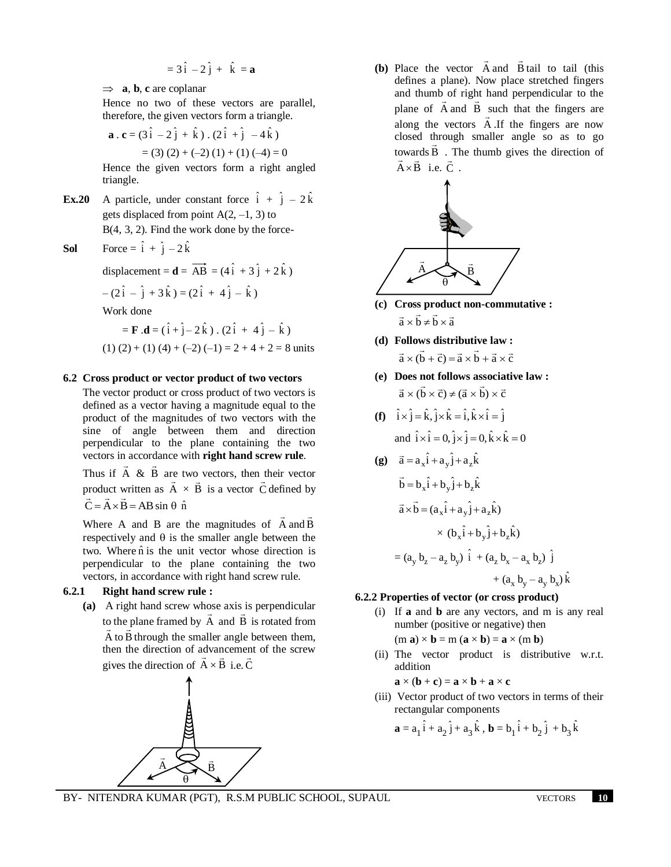$$
=3\hat{i}-2\hat{j}+\hat{k}=\mathbf{a}
$$

 $\Rightarrow$  **a**, **b**, **c** are coplanar

Hence no two of these vectors are parallel, therefore, the given vectors form a triangle.

$$
\mathbf{a} \cdot \mathbf{c} = (3\hat{i} - 2\hat{j} + \hat{k}) \cdot (2\hat{i} + \hat{j} - 4\hat{k})
$$
  
= (3) (2) + (-2) (1) + (1) (-4) = 0

Hence the given vectors form a right angled triangle.

**Ex.20** A particle, under constant force  $\hat{i} + \hat{j} - 2\hat{k}$ gets displaced from point  $A(2, -1, 3)$  to B(4, 3, 2). Find the work done by the force-

**Sol** Force = 
$$
\hat{i} + \hat{j} - 2\hat{k}
$$

displacement =  $\mathbf{d} = \overrightarrow{AB} = (4\hat{i} + 3\hat{j} + 2\hat{k})$  $-(2\hat{i} - \hat{j} + 3\hat{k}) = (2\hat{i} + 4\hat{j} - \hat{k})$ Work done

$$
= \mathbf{F} \cdot \mathbf{d} = (\hat{i} + \hat{j} - 2\hat{k}) \cdot (2\hat{i} + 4\hat{j} - \hat{k})
$$
  
(1) (2) + (1) (4) + (-2) (-1) = 2 + 4 + 2 = 8 units

## **6.2 Cross product or vector product of two vectors**

The vector product or cross product of two vectors is defined as a vector having a magnitude equal to the product of the magnitudes of two vectors with the sine of angle between them and direction perpendicular to the plane containing the two vectors in accordance with **right hand screw rule**.  $\overline{\phantom{a}}$  $\overline{a}$ 

Thus if A & B are two vectors, then their vector product written as A  $\ddot{\ }$  $\times$  B  $\overline{a}$ is a vector C  $\rightarrow$ product written as  $A \times B$  is a vector C defined by  $\vec{C} = \vec{A} \times \vec{B} = AB \sin \theta \hat{n}$ 

Where A and B are the magnitudes of A  $\rightarrow$ and B  $\overline{\phantom{a}}$ respectively and  $\theta$  is the smaller angle between the two. Where  $\hat{n}$  is the unit vector whose direction is perpendicular to the plane containing the two vectors, in accordance with right hand screw rule.

## **6.2.1 Right hand screw rule :**

**(a)** A right hand screw whose axis is perpendicular to the plane framed by A and B is rotated from A to B  $\rightarrow$ through the smaller angle between them, then the direction of advancement of the screw gives the direction of  $A \times B$  i.e. C



**(b)** Place the vector A  $\overline{\phantom{a}}$ and B  $\rightarrow$ tail to tail (this defines a plane). Now place stretched fingers and thumb of right hand perpendicular to the plane of A and B such that the fingers are along the vectors A .If the fingers are now closed through smaller angle so as to go towards B . The thumb gives the direction of  $A \times \overrightarrow{B}$  i.e. C.



- **(c) Cross product non-commutative :**   $\vec{a} \times \vec{b} \neq \vec{b} \times \vec{a}$
- **(d) Follows distributive law :**  $\vec{a} \times (\vec{b} + \vec{c}) = \vec{a} \times \vec{b} + \vec{a} \times \vec{c}$
- **(e) Does not follows associative law :**  $\vec{a} \times (\vec{b} \times \vec{c}) \neq (\vec{a} \times \vec{b}) \times \vec{c}$

(f) 
$$
\hat{i} \times \hat{j} = \hat{k}, \hat{j} \times \hat{k} = \hat{i}, \hat{k} \times \hat{i} = \hat{j}
$$
  
and  $\hat{i} \times \hat{i} = 0, \hat{j} \times \hat{j} = 0, \hat{k} \times \hat{k} = 0$ 

(g) 
$$
\vec{a} = a_x \hat{i} + a_y \hat{j} + a_z \hat{k}
$$
  
\n $\vec{b} = b_x \hat{i} + b_y \hat{j} + b_z \hat{k}$   
\n $\vec{a} \times \vec{b} = (a_x \hat{i} + a_y \hat{j} + a_z \hat{k})$   
\n $\times (b_x \hat{i} + b_y \hat{j} + b_z \hat{k})$   
\n $= (a_y b_z - a_z b_y) \hat{i} + (a_z b_x - a_x b_z) \hat{j} + (a_x b_y - a_y b_x) \hat{k}$ 

## **6.2.2 Properties of vector (or cross product)**

(i) If **a** and **b** are any vectors, and m is any real number (positive or negative) then

$$
(\mathbf{m}\ \mathbf{a}) \times \mathbf{b} = \mathbf{m}\ (\mathbf{a} \times \mathbf{b}) = \mathbf{a} \times (\mathbf{m}\ \mathbf{b})
$$

(ii) The vector product is distributive w.r.t. addition

$$
\mathbf{a} \times (\mathbf{b} + \mathbf{c}) = \mathbf{a} \times \mathbf{b} + \mathbf{a} \times \mathbf{c}
$$

(iii) Vector product of two vectors in terms of their rectangular components

$$
\mathbf{a} = a_1 \hat{i} + a_2 \hat{j} + a_3 \hat{k}, \mathbf{b} = b_1 \hat{i} + b_2 \hat{j} + b_3 \hat{k}
$$

BY- NITENDRA KUMAR (PGT), R.S.M PUBLIC SCHOOL, SUPAUL VECTORS **10**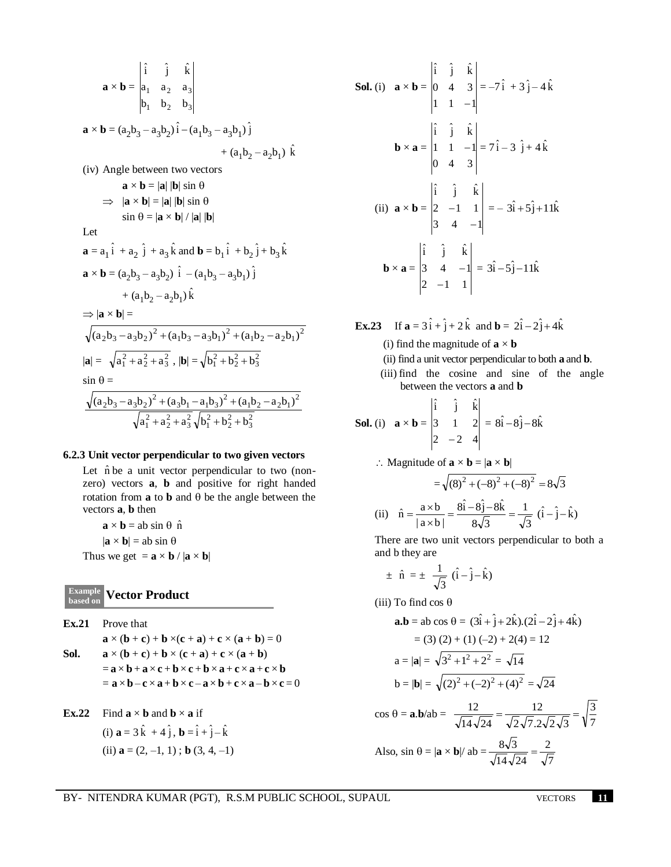$$
\mathbf{a} \times \mathbf{b} = \begin{vmatrix} \hat{i} & \hat{j} & \hat{k} \\ a_1 & a_2 & a_3 \\ b_1 & b_2 & b_3 \end{vmatrix}
$$
  
\n
$$
\mathbf{a} \times \mathbf{b} = (a_2b_3 - a_3b_2)\hat{i} - (a_1b_3 - a_3b_1)\hat{j} + (a_1b_2 - a_2b_1)\hat{k}
$$
  
\n(iv) Angle between two vectors  
\n
$$
\mathbf{a} \times \mathbf{b} = |\mathbf{a}| |\mathbf{b}| \sin \theta
$$
  
\n
$$
\Rightarrow |\mathbf{a} \times \mathbf{b}| = |\mathbf{a}| |\mathbf{b}| \sin \theta
$$
  
\n
$$
\sin \theta = |\mathbf{a} \times \mathbf{b}| / |\mathbf{a}| |\mathbf{b}|
$$
  
\nLet  
\n
$$
\mathbf{a} = a_1\hat{i} + a_2\hat{j} + a_3\hat{k} \text{ and } \mathbf{b} = b_1\hat{i} + b_2\hat{j} + b_3\hat{k}
$$
  
\n
$$
\mathbf{a} \times \mathbf{b} = (a_2b_3 - a_3b_2)\hat{i} - (a_1b_3 - a_3b_1)\hat{j} + (a_1b_2 - a_2b_1)\hat{k}
$$
  
\n
$$
\Rightarrow |\mathbf{a} \times \mathbf{b}| = \sqrt{(a_2b_3 - a_3b_2)^2 + (a_1b_3 - a_3b_1)^2 + (a_1b_2 - a_2b_1)^2}
$$
  
\n
$$
|\mathbf{a}| = \sqrt{a_1^2 + a_2^2 + a_3^2}, |\mathbf{b}| = \sqrt{b_1^2 + b_2^2 + b_3^2}
$$
  
\n
$$
\sin \theta = \frac{\sqrt{(a_2b_3 - a_3b_2)^2 + (a_3b_1 - a_1b_3)^2 + (a_1b_2 - a_2b_1)^2}}{\sqrt{a_1^2 + a_2^2 + a_3^2}\sqrt{b_1^2 + b_2^2 + b_3^2}}
$$

#### **6.2.3 Unit vector perpendicular to two given vectors**

Let  $\hat{n}$  be a unit vector perpendicular to two (nonzero) vectors **a**, **b** and positive for right handed rotation from  $\bf{a}$  to  $\bf{b}$  and  $\bf{\theta}$  be the angle between the vectors **a**, **b** then

 $\mathbf{a} \times \mathbf{b} = \mathbf{a} \mathbf{b} \sin \theta \, \hat{\mathbf{n}}$  $|\mathbf{a} \times \mathbf{b}| = ab \sin \theta$ Thus we get  $= \mathbf{a} \times \mathbf{b} / |\mathbf{a} \times \mathbf{b}|$ 

#### **Vector Product based on**

**Ex.21** Prove that  $\mathbf{a} \times (\mathbf{b} + \mathbf{c}) + \mathbf{b} \times (\mathbf{c} + \mathbf{a}) + \mathbf{c} \times (\mathbf{a} + \mathbf{b}) = 0$ **Sol.**  $\mathbf{a} \times (\mathbf{b} + \mathbf{c}) + \mathbf{b} \times (\mathbf{c} + \mathbf{a}) + \mathbf{c} \times (\mathbf{a} + \mathbf{b})$  $=$ **a**  $\times$ **b** + **a**  $\times$ **c** + **b**  $\times$ **c** + **b**  $\times$ **a** + **c**  $\times$ **a** + **c**  $\times$ **b**  $=$ **a**  $\times$ **b** – **c**  $\times$ **a** + **b**  $\times$ **c** – **a**  $\times$ **b** + **c**  $\times$ **a** – **b**  $\times$ **c** = 0

**Ex.22** Find  $\mathbf{a} \times \mathbf{b}$  and  $\mathbf{b} \times \mathbf{a}$  if (i)  $\mathbf{a} = 3\hat{k} + 4\hat{j}$ ,  $\mathbf{b} = \hat{i} + \hat{j} - \hat{k}$ (ii)  $\mathbf{a} = (2, -1, 1)$ ; **b** (3, 4, -1)

**Sol.** (i) 
$$
\mathbf{a} \times \mathbf{b} = \begin{vmatrix} \hat{i} & \hat{j} & \hat{k} \\ 0 & 4 & 3 \\ 1 & 1 & -1 \end{vmatrix} = -7\hat{i} + 3\hat{j} - 4\hat{k}
$$
  
\n $\mathbf{b} \times \mathbf{a} = \begin{vmatrix} \hat{i} & \hat{j} & \hat{k} \\ 1 & 1 & -1 \\ 0 & 4 & 3 \end{vmatrix} = 7\hat{i} - 3\hat{j} + 4\hat{k}$   
\n(ii)  $\mathbf{a} \times \mathbf{b} = \begin{vmatrix} \hat{i} & \hat{j} & \hat{k} \\ 2 & -1 & 1 \\ 3 & 4 & -1 \end{vmatrix} = -3\hat{i} + 5\hat{j} + 11\hat{k}$   
\n $\mathbf{b} \times \mathbf{a} = \begin{vmatrix} \hat{i} & \hat{j} & \hat{k} \\ 3 & 4 & -1 \\ 2 & -1 & 1 \end{vmatrix} = 3\hat{i} - 5\hat{j} - 11\hat{k}$ 

**Ex.23** If  $\mathbf{a} = 3\hat{i} + \hat{j} + 2\hat{k}$  and  $\mathbf{b} = 2\hat{i} - 2\hat{j} + 4\hat{k}$ 

- (i) find the magnitude of  $\mathbf{a} \times \mathbf{b}$
- (ii) find a unit vector perpendicular to both **a** and **b**.
- (iii) find the cosine and sine of the angle between the vectors **a** and **b**

**Sol.** (i) 
$$
\mathbf{a} \times \mathbf{b} = \begin{vmatrix} \hat{i} & \hat{j} & \hat{k} \\ 3 & 1 & 2 \\ 2 & -2 & 4 \end{vmatrix} = 8\hat{i} - 8\hat{j} - 8\hat{k}
$$

$$
\therefore \text{ Magnitude of } \mathbf{a} \times \mathbf{b} = |\mathbf{a} \times \mathbf{b}|
$$

$$
= \sqrt{(8)^2 + (-8)^2 + (-8)^2} = 8\sqrt{3}
$$

$$
\hat{n} = \frac{a \times b}{|a \times b|} = \frac{8\hat{i} - 8\hat{j} - 8\hat{k}}{8\sqrt{3}} = \frac{1}{\sqrt{3}} (\hat{i} - \hat{j} - \hat{k})
$$

3  $8\sqrt{3}$  $|a \times b|$ There are two unit vectors perpendicular to both a and b they are

$$
\pm \hat{n} = \pm \frac{1}{\sqrt{3}} (\hat{i} - \hat{j} - \hat{k})
$$

(iii) To find  $\cos \theta$ 

(ii)

$$
\mathbf{a}.\mathbf{b} = \mathbf{a}\mathbf{b}\cos\theta = (3\hat{\mathbf{i}} + \hat{\mathbf{j}} + 2\hat{\mathbf{k}}). (2\hat{\mathbf{i}} - 2\hat{\mathbf{j}} + 4\hat{\mathbf{k}})
$$
  
= (3) (2) + (1) (-2) + 2(4) = 12  

$$
\mathbf{a} = |\mathbf{a}| = \sqrt{3^2 + 1^2 + 2^2} = \sqrt{14}
$$

$$
\mathbf{b} = |\mathbf{b}| = \sqrt{(2)^2 + (-2)^2 + (4)^2} = \sqrt{24}
$$

$$
\cos\theta = \mathbf{a}.\mathbf{b}/\mathbf{a}\mathbf{b} = \frac{12}{\sqrt{14} \sqrt{14}} = \frac{12}{\sqrt{14} \sqrt{14}} = \sqrt{\frac{3}{24}}
$$

Also, 
$$
\sin \theta = |\mathbf{a} \times \mathbf{b}| / |\mathbf{a} \cdot \frac{8\sqrt{3}}{\sqrt{14}\sqrt{24}} = \frac{2}{\sqrt{7}}.
$$

7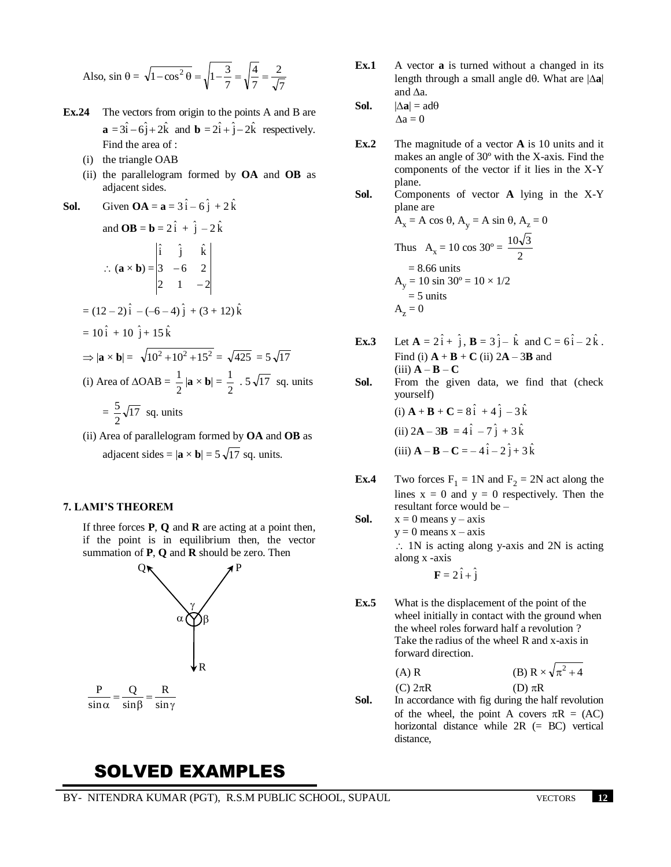Also, 
$$
\sin \theta = \sqrt{1 - \cos^2 \theta} = \sqrt{1 - \frac{3}{7}} = \sqrt{\frac{4}{7}} = \frac{2}{\sqrt{7}}
$$

- **Ex.24** The vectors from origin to the points A and B are  $\mathbf{a} = 3\hat{i} - 6\hat{j} + 2\hat{k}$  and  $\mathbf{b} = 2\hat{i} + \hat{j} - 2\hat{k}$  respectively. Find the area of :
	- (i) the triangle OAB
	- (ii) the parallelogram formed by **OA** and **OB** as adjacent sides.
- **Sol.** Given **OA** = **a** =  $3\hat{i} 6\hat{j} + 2\hat{k}$

and OB = **b** = 2
$$
\hat{i}
$$
 +  $\hat{j}$  - 2 $\hat{k}$   
\n
$$
\therefore (\mathbf{a} \times \mathbf{b}) = \begin{vmatrix} \hat{i} & \hat{j} & \hat{k} \\ 3 & -6 & 2 \\ 2 & 1 & -2 \end{vmatrix}
$$
\n= (12-2) $\hat{i}$  - (-6-4) $\hat{j}$  + (3 + 12) $\hat{k}$   
\n= 10 $\hat{i}$  + 10 $\hat{j}$  + 15 $\hat{k}$   
\n
$$
\Rightarrow |\mathbf{a} \times \mathbf{b}| = \sqrt{10^2 + 10^2 + 15^2} = \sqrt{425} = 5\sqrt{17}
$$
\n(i) Area of  $\triangle OAB = \frac{1}{2} |\mathbf{a} \times \mathbf{b}| = \frac{1}{2} . 5\sqrt{17}$  sq. units  
\n=  $\frac{5}{2}\sqrt{17}$  sq. units

(ii) Area of parallelogram formed by **OA** and **OB** as adjacent sides =  $|\mathbf{a} \times \mathbf{b}| = 5 \sqrt{17}$  sq. units.

## **7. LAMI'S THEOREM**

If three forces **P**, **Q** and **R** are acting at a point then, if the point is in equilibrium then, the vector summation of **P**, **Q** and **R** should be zero. Then



# SOLVED EXAMPLES

- **Ex.1** A vector **a** is turned without a changed in its length through a small angle d $\theta$ . What are  $|\Delta \mathbf{a}|$ and  $\Delta$ a.
- **Sol.**  $|\Delta \mathbf{a}| = \text{ad}\theta$  $\Lambda$ a = 0
- **Ex.2** The magnitude of a vector **A** is 10 units and it makes an angle of 30º with the X-axis. Find the components of the vector if it lies in the X-Y plane.
- **Sol.** Components of vector **A** lying in the X-Y plane are  $A_x = A \cos \theta$ ,  $A_y = A \sin \theta$ ,  $A_z = 0$

Thus A<sub>x</sub> = 10 cos 30° = 
$$
\frac{10\sqrt{3}}{2}
$$
  
= 8.66 units  
A<sub>y</sub> = 10 sin 30° = 10 × 1/2  
= 5 units  
A<sub>z</sub> = 0

**Ex.3** Let  $A = 2\hat{i} + \hat{j}$ ,  $B = 3\hat{j} - \hat{k}$  and  $C = 6\hat{i} - 2\hat{k}$ . Find (i)  $\mathbf{A} + \mathbf{B} + \mathbf{C}$  (ii)  $2\mathbf{A} - 3\mathbf{B}$  and  $(iii)$   $A - B - C$ 

**Sol.** From the given data, we find that (check yourself)

(i) 
$$
\mathbf{A} + \mathbf{B} + \mathbf{C} = 8\hat{i} + 4\hat{j} - 3\hat{k}
$$
  
\n(ii)  $2\mathbf{A} - 3\mathbf{B} = 4\hat{i} - 7\hat{j} + 3\hat{k}$   
\n(iii)  $\mathbf{A} - \mathbf{B} - \mathbf{C} = -4\hat{i} - 2\hat{j} + 3\hat{k}$ 

- **Ex.4** Two forces  $F_1 = 1N$  and  $F_2 = 2N$  act along the lines  $x = 0$  and  $y = 0$  respectively. Then the resultant force would be –
- **Sol.**  $x = 0$  means  $y axis$  $y = 0$  means  $x - axis$  $\therefore$  1N is acting along y-axis and 2N is acting along x -axis  $\mathbf{F} = 2\hat{i} + \hat{j}$
- **Ex.5** What is the displacement of the point of the wheel initially in contact with the ground when the wheel roles forward half a revolution ? Take the radius of the wheel R and x-axis in forward direction.

(A) R  
\n(B) 
$$
R \times \sqrt{\pi^2 + 4}
$$
  
\n(C)  $2\pi R$   
\n(D)  $\pi R$   
\n**Sol.** In accordance with fig during the half revolution

of the wheel, the point A covers  $\pi R = (AC)$ horizontal distance while 2R (= BC) vertical distance,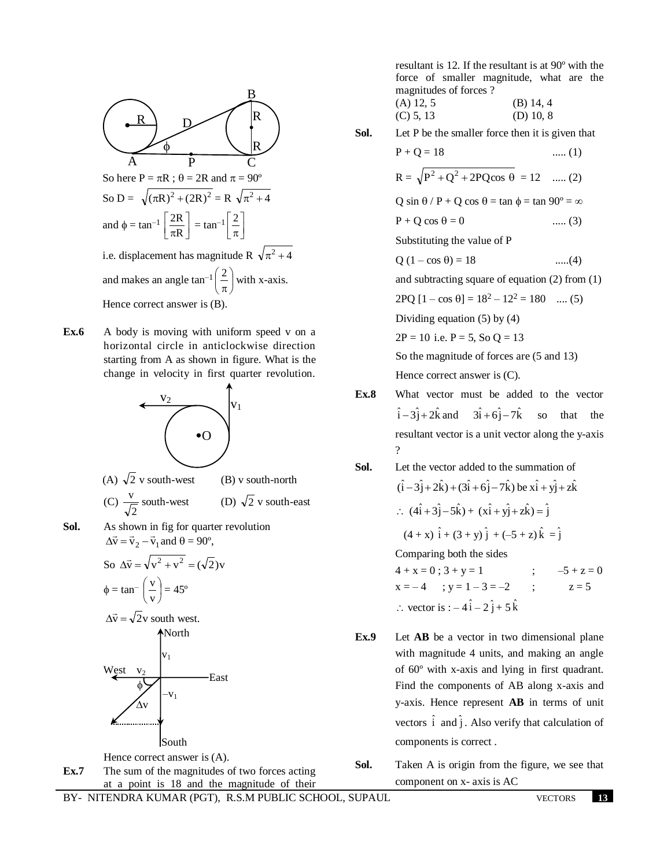

**Ex.6** • A body is moving with uniform speed v on a horizontal circle in anticlockwise direction starting from A as shown in figure. What is the change in velocity in first quarter revolution.



**Ex.7** The sum of the magnitudes of two forces acting at a point is 18 and the magnitude of their resultant is 12. If the resultant is at 90º with the force of smaller magnitude, what are the magnitudes of forces ?

(A) 12, 5 (B) 14, 4 (C) 5, 13 (D) 10, 8

**Sol.** Let P be the smaller force then it is given that

$$
P + Q = 18
$$
 ...... (1)  
\n
$$
R = \sqrt{P^2 + Q^2 + 2PQ\cos\theta} = 12
$$
 ...... (2)  
\n
$$
Q \sin \theta / P + Q \cos \theta = \tan \phi = \tan 90^\circ = \infty
$$
  
\n
$$
P + Q \cos \theta = 0
$$
 ...... (3)

Substituting the value of P

$$
Q (1 - \cos \theta) = 18
$$
 ......(4)

and subtracting square of equation (2) from (1)

 $2PQ [1 - \cos \theta] = 18^2 - 12^2 = 180$  .... (5)

Dividing equation (5) by (4)

 $2P = 10$  i.e.  $P = 5$ , So  $Q = 13$ 

So the magnitude of forces are (5 and 13) Hence correct answer is (C).

**Ex.8** What vector must be added to the vector  $\hat{i} - 3\hat{j} + 2\hat{k}$  and  $3\hat{i} + 6\hat{j} - 7\hat{k}$ so that the resultant vector is a unit vector along the y-axis ?

**Sol.** Let the vector added to the summation of  
\n
$$
(\hat{i} - 3\hat{j} + 2\hat{k}) + (3\hat{i} + 6\hat{j} - 7\hat{k})
$$
 be  $x\hat{i} + y\hat{j} + z\hat{k}$   
\n $\therefore$   $(4\hat{i} + 3\hat{j} - 5\hat{k}) + (x\hat{i} + y\hat{j} + z\hat{k}) = \hat{j}$   
\n $(4 + x)\hat{i} + (3 + y)\hat{j} + (-5 + z)\hat{k} = \hat{j}$ 

Comparing both the sides

 $4 + x = 0$ ;  $3 + y = 1$  ;  $-5 + z = 0$  $x = -4$  ;  $y = 1 - 3 = -2$  ;  $z = 5$  $\therefore$  vector is :  $-4\hat{i} - 2\hat{j} + 5\hat{k}$ 

- **Ex.9** Let **AB** be a vector in two dimensional plane with magnitude 4 units, and making an angle of 60º with x-axis and lying in first quadrant. Find the components of AB along x-axis and y-axis. Hence represent **AB** in terms of unit vectors  $\hat{i}$  and  $\hat{j}$ . Also verify that calculation of components is correct .
- **Sol.** Taken A is origin from the figure, we see that component on x- axis is AC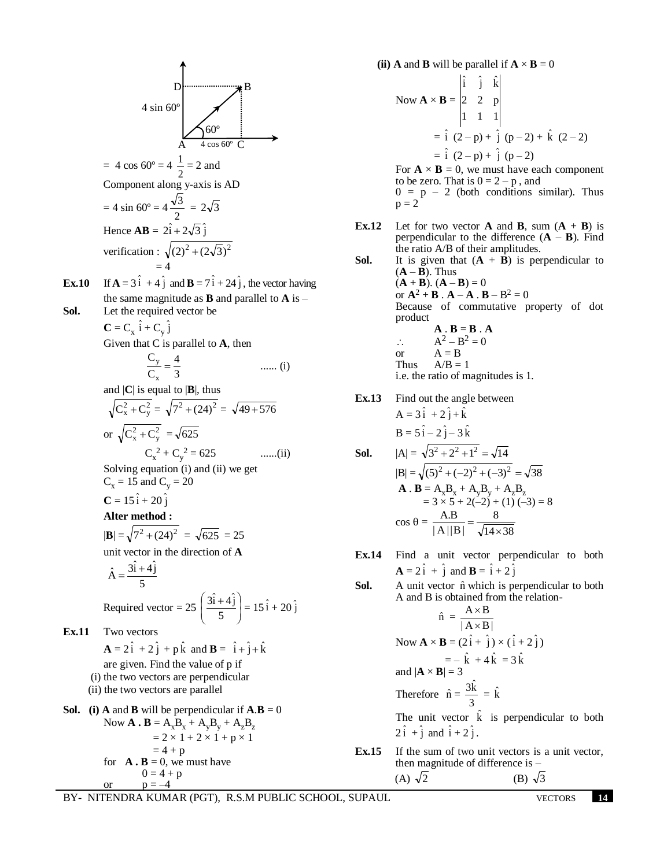B  
\n4 sin 60°  
\n= 4 cos 60° = 4 
$$
\frac{1}{2}
$$
 = 2 and  
\nComponent along y-axis is AD  
\n= 4 sin 60° = 4  $\frac{\sqrt{3}}{2}$  = 2 $\sqrt{3}$   
\nHence AB =  $2\hat{i} + 2\sqrt{3}\hat{j}$   
\nvertical  
\n= 4 sin 60° =  $4\frac{\sqrt{3}}{2}$  =  $2\sqrt{3}$   
\nHence AB =  $2\hat{i} + 2\sqrt{3}\hat{j}$   
\nvertical  
\n= 4  
\nthe same magnitude as B and parallel to A is –  
\nLet the required vector be  
\nC = C<sub>x</sub>  $\hat{i} + C_y \hat{j}$   
\nGiven that C is parallel to A, then  
\n $\frac{C_y}{C_x} = \frac{4}{3}$  ...... (i)  
\nand |C| is equal to |B|, thus  
\n $\sqrt{C_x^2 + C_y^2} = \sqrt{7^2 + (24)^2} = \sqrt{49 + 576}$   
\nor  $\sqrt{C_x^2 + C_y^2} = \sqrt{625}$   
\n $C_x^2 + C_y^2 = 625$  ...... (ii)  
\nSolving equation (i) and (ii) we get  
\n $C_x = 15$  and  $C_y = 20$   
\nC =  $15\hat{i} + 20\hat{j}$   
\nAfter method:  
\n|B| =  $\sqrt{7^2 + (24)^2} = \sqrt{625} = 25$   
\nunit vector in the direction of A  
\n $\hat{A} = \frac{3\hat{i} + 4\hat{j}}{5}$   
\nRequired vector =  $25\left(\frac{3\hat{i} + 4\hat{j}}{5}\right) = 15\hat{i} + 20\hat{j}$   
\nEx.11 Two vectors  
\n $A = 2\hat{i} + 2\hat{j} + p\hat{k}$  and B =  $\hat{i} + \hat{j} + \hat{k}$   
\nare given. Find the value of p if  
\n(i) the two vectors are perpendicular if A.B = 0  
\nNow A. B = A<sub>3</sub>B<sub>x</sub> + A<sub>y</sub>B<sub>y</sub> + A<sub>z</sub>B<sub>z</sub>  
\n=  $2 \times 1 + 2 \times 1 + p \times$ 

**(ii) A** and **B** will be parallel if  $\mathbf{A} \times \mathbf{B} = 0$ Now  $\mathbf{A} \times \mathbf{B} =$ 1 1 1 2 2 p  $\hat{i}$   $\hat{j}$   $\hat{k}$  $=\hat{i} (2-p) + \hat{j} (p-2) + \hat{k} (2-2)$  $= \hat{i} (2-p) + \hat{j} (p-2)$ For  $\mathbf{A} \times \mathbf{B} = 0$ , we must have each component to be zero. That is  $0 = 2 - p$ , and  $0 = p - 2$  (both conditions similar). Thus  $p = 2$ **Ex.12** Let for two vector **A** and **B**, sum  $(A + B)$  is perpendicular to the difference  $(A - B)$ . Find the ratio A/B of their amplitudes. **Sol.** It is given that  $(A + \overline{B})$  is perpendicular to  $(A - \overline{B})$ . Thus  $(A + B)$ .  $(A - B) = 0$ or  $A^2 + B$  .  $A - A$  .  $B - B^2 = 0$ Because of commutative property of dot product  $A \cdot B = B \cdot A$  $\therefore \qquad A^2 - B^2 = 0$ or  $A = B$ <br>Thus  $A/B =$  $A/B = 1$ i.e. the ratio of magnitudes is 1. **Ex.13** Find out the angle between  $A = 3\hat{i} + 2\hat{j} + \hat{k}$  $B = 5\hat{i} - 2\hat{j} - 3\hat{k}$ **Sol.**  $|A| = \sqrt{3^2 + 2^2 + 1^2} = \sqrt{14}$  $|B| = \sqrt{(5)^2 + (-2)^2 + (-3)^2} = \sqrt{38}$ **A** . **B** =  $A_xB_x + A_yB_y + A_zB_z$  $= 3 \times 5 + 2(-2) + (1) (-3) = 8$  $\cos \theta =$  $14 \times 38$ 8  $|A||B|$ A.B  $\times$  $=\frac{6}{\sqrt{2}}$ **Ex.14** Find a unit vector perpendicular to both  $\mathbf{A} = 2\hat{i} + \hat{j}$  and  $\mathbf{B} = \hat{i} + 2\hat{j}$ **Sol.** A unit vector  $\hat{n}$  which is perpendicular to both A and B is obtained from the relation- $A \times B$ 

$$
\hat{\mathbf{n}} = \frac{\mathbf{A} \times \mathbf{B}}{|\mathbf{A} \times \mathbf{B}|}
$$
  
\nNow  $\mathbf{A} \times \mathbf{B} = (2\hat{i} + \hat{j}) \times (\hat{i} + 2\hat{j})$   
\n $= -\hat{k} + 4\hat{k} = 3\hat{k}$   
\nand  $|\mathbf{A} \times \mathbf{B}| = 3$   
\nTherefore  $\hat{\mathbf{n}} = \frac{3\hat{k}}{3} = \hat{k}$   
\nThe unit vector  $\hat{k}$  is perpendicular to both  
\n $2\hat{i} + \hat{j}$  and  $\hat{i} + 2\hat{j}$ .

**Ex.15** If the sum of two unit vectors is a unit vector, then magnitude of difference is –  $(A)$   $\sqrt{2}$ 2 (B)  $\sqrt{3}$ 

or  $p = -4$ 

j ˆ